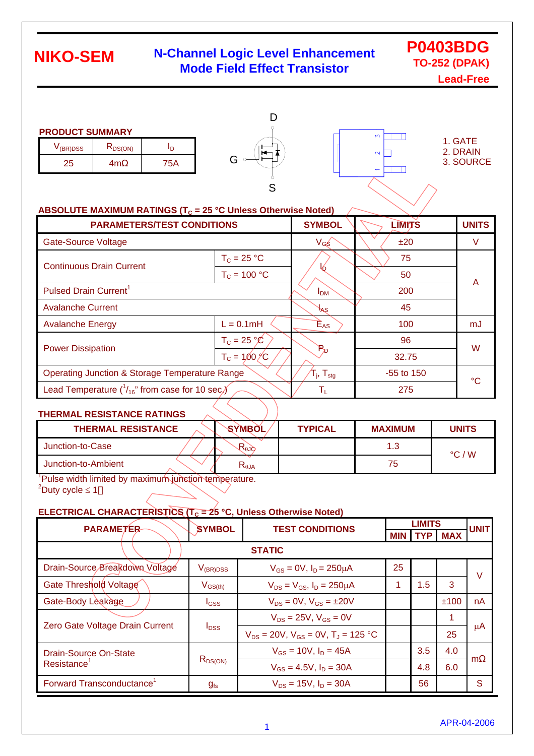### **N-Channel Logic Level Enhancement Mode Field Effect Transistor**

### **P0403BDG TO-252 (DPAK)**

**Lead-Free**

#### **PRODUCT SUMMARY**

| V (BR)DSS | K <sub>DS(ON)</sub> |  |
|-----------|---------------------|--|
| 25        | m                   |  |





1. GATE 2. DRAIN 3. SOURCE

#### ABSOLUTE MAXIMUM RATINGS (T<sub>C</sub> = 25 °C Unless Otherwise Noted)

| <b>PARAMETERS/TEST CONDITIONS</b>                           |                                                                                 | <b>SYMBOL</b>              | <b>LIMITS</b> | <b>UNITS</b> |
|-------------------------------------------------------------|---------------------------------------------------------------------------------|----------------------------|---------------|--------------|
| Gate-Source Voltage                                         |                                                                                 | $V_{GS}$                   | ±20           | V            |
| <b>Continuous Drain Current</b>                             | $T_c = 25 °C$                                                                   |                            | 75            |              |
|                                                             | $T_c = 100 °C$                                                                  |                            | 50            | A            |
| Pulsed Drain Current <sup>1</sup>                           |                                                                                 | <b>I</b> <sub>DM</sub>     | 200           |              |
| <b>Avalanche Current</b>                                    |                                                                                 | $H_{AS}$                   | 45            |              |
| <b>Avalanche Energy</b>                                     | $L = 0.1mH$                                                                     | $\mathsf{E}_{\mathsf{AS}}$ | 100           | mJ           |
|                                                             | $T_c = 25 \text{ °C}$                                                           |                            | 96            | W            |
| <b>Power Dissipation</b>                                    | $T_c = 100 \degree C$                                                           | $P_{D}$                    | 32.75         |              |
| <b>Operating Junction &amp; Storage Temperature Range</b>   | ${\boldsymbol{\mathsf{T}}}_\mathsf{j},\,{\boldsymbol{\mathsf{T}}}_\mathsf{stg}$ | $-55$ to 150               | °C            |              |
| Lead Temperature $(^{1}_{16}$ " from case for 10 sec $\chi$ | $\mathsf{T}_\mathsf{L}$                                                         | 275                        |               |              |

#### **THERMAL RESISTANCE RATINGS**

| <b>THERMAL RESISTANCE</b> |     | <b>SYMBOL</b>                    | <b>TYPICAL</b> | <b>MAXIMUM</b> | <b>UNITS</b>     |
|---------------------------|-----|----------------------------------|----------------|----------------|------------------|
| Junction-to-Case          |     | $R_{00}$                         |                | 1.3            | $\degree$ C. / W |
| Junction-to-Ambient       |     | $\mathsf{R}_{\theta\mathsf{JA}}$ |                | 75             |                  |
| . .                       | . . |                                  |                |                |                  |

<sup>1</sup>Pulse width limited by maximum junction temperature.  $2^2$ Duty cycle  $\leq 1$ 

#### **ELECTRICAL CHARACTERISTICS (** $T_c = 25$  **°C, Unless Otherwise Noted)**

| <b>PARAMETER</b>                      | <b>SYMBOL</b>                           | <b>TEST CONDITIONS</b>                          | <b>LIMITS</b> |            |            | <b>UNIT</b> |  |
|---------------------------------------|-----------------------------------------|-------------------------------------------------|---------------|------------|------------|-------------|--|
|                                       |                                         |                                                 | <b>MIN</b>    | <b>TYP</b> | <b>MAX</b> |             |  |
| <b>STATIC</b>                         |                                         |                                                 |               |            |            |             |  |
| Drain-Source Breakdown Voltage        | $V_{(BR)DSS}$                           | $V_{GS} = 0V$ , $I_D = 250 \mu A$               | 25            |            |            | $\vee$      |  |
| Gate Threshold Voltage                | $\mathsf{V}_{\mathsf{GS}(\mathsf{th})}$ | $V_{DS} = V_{GS}$ , $I_D = 250 \mu A$           |               | 1.5        | 3          |             |  |
| Gate-Body Leakage                     | I <sub>GSS</sub>                        | $V_{DS} = 0V$ , $V_{GS} = \pm 20V$              |               |            | ±100       | nA          |  |
| Zero Gate Voltage Drain Current       | $I_{\text{DSS}}$                        | $V_{DS} = 25V$ , $V_{GS} = 0V$                  |               |            | 1          |             |  |
|                                       |                                         | $V_{DS} = 20V$ , $V_{GS} = 0V$ , $T_J = 125 °C$ |               |            | 25         | $\mu$ A     |  |
| Drain-Source On-State                 | $R_{DS(ON)}$                            | $V_{GS}$ = 10V, $I_D$ = 45A                     |               | 3.5        | 4.0        | m           |  |
| Resistance <sup>'</sup>               |                                         | $V_{GS} = 4.5V$ , $I_D = 30A$                   |               | 4.8        | 6.0        |             |  |
| Forward Transconductance <sup>1</sup> | $g_{fs}$                                | $V_{DS} = 15V$ , $I_D = 30A$                    |               | 56         |            | S           |  |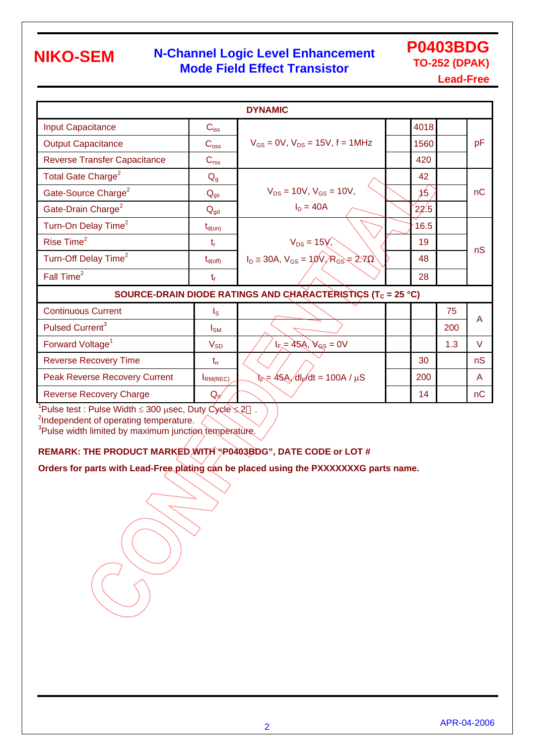### **N-Channel Logic Level Enhancement Mode Field Effect Transistor**

**P0403BDG TO-252 (DPAK) Lead-Free**

|                                                                         |                     | <b>DYNAMIC</b>                                  |  |      |     |        |  |
|-------------------------------------------------------------------------|---------------------|-------------------------------------------------|--|------|-----|--------|--|
| <b>Input Capacitance</b>                                                | $C_{iss}$           |                                                 |  | 4018 |     |        |  |
| <b>Output Capacitance</b>                                               | $C_{\rm oss}$       | $V_{GS} = 0V$ , $V_{DS} = 15V$ , f = 1MHz       |  | 1560 |     | pF     |  |
| <b>Reverse Transfer Capacitance</b>                                     | C <sub>rss</sub>    |                                                 |  | 420  |     |        |  |
| Total Gate Charge <sup>2</sup>                                          | $Q_{g}$             |                                                 |  | 42   |     |        |  |
| Gate-Source Charge <sup>2</sup>                                         | $Q_{gs}$            | $V_{DS} = 10V$ , $V_{GS} = 10V$ ,               |  | 1/5  |     | nC     |  |
| Gate-Drain Charge <sup>2</sup>                                          | $Q_{gd}$            | $I_D = 40A$                                     |  | 22.5 |     |        |  |
| Turn-On Delay Time <sup>2</sup>                                         | $t_{d(on)}$         |                                                 |  | 16.5 |     |        |  |
| Rise Time <sup>2</sup>                                                  | $t_{r}$             | $V_{DS} = 15V$ ,                                |  | 19   |     | nS     |  |
| Turn-Off Delay Time <sup>2</sup>                                        | $t_{d(\text{off})}$ | $I_D \approx 30A$ , $V_{GS} = 10V/R_{GS} = 2.7$ |  | 48   |     |        |  |
| Fall Time <sup>2</sup>                                                  | $t_{f}$             |                                                 |  | 28   |     |        |  |
| SOURCE-DRAIN DIODE RATINGS AND CHARACTERISTICS (T <sub>C</sub> = 25 °C) |                     |                                                 |  |      |     |        |  |
| <b>Continuous Current</b>                                               | $I_{\rm S}$         |                                                 |  |      | 75  | A      |  |
| Pulsed Current <sup>3</sup>                                             | $I_{\text{SM}}$     |                                                 |  |      | 200 |        |  |
| Forward Voltage <sup>1</sup>                                            | $V_{SD}$            | $I_{F}$ = 45A, $V_{GS}$ = 0V                    |  |      | 1.3 | $\vee$ |  |
| <b>Reverse Recovery Time</b>                                            | $t_{rr}$            |                                                 |  | 30   |     | nS     |  |
| <b>Peak Reverse Recovery Current</b>                                    | <b>IRM(REC)</b>     | $E = 45A/dl_F/dt = 100A / \mu S$                |  | 200  |     | A      |  |
| <b>Reverse Recovery Charge</b>                                          | $Q_{\rm pf}$        |                                                 |  | 14   |     | nC     |  |

<sup>1</sup>Pulse test : Pulse Width ≤ 300 µsec, Duty Cycle  $\leq$  2 .

<sup>2</sup>Independent of operating temperature.<br><sup>3</sup>Pulse width limited by maximum junction temperature.

#### **REMARK: THE PRODUCT MARKED WITH "P0403BDG", DATE CODE or LOT #**

**Orders for parts with Lead-Free plating can be placed using the PXXXXXXXG parts name.**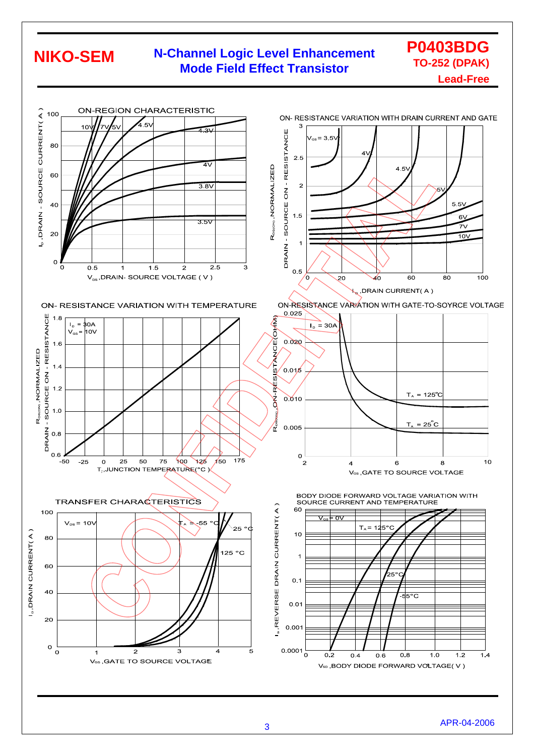#### **N-Channel Logic Level Enhancement Mode Field Effect Transistor NIKO-SEM**



**P0403BDG TO-252 (DPAK)**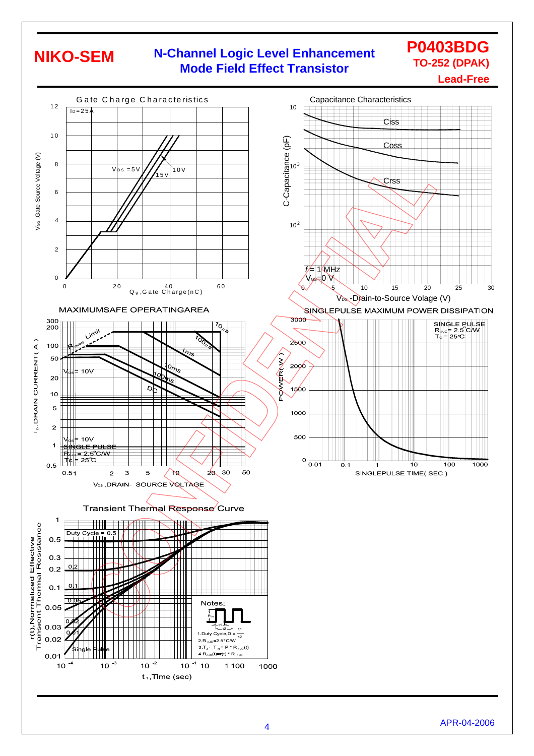### **N-Channel Logic Level Enhancement Mode Field Effect Transistor**

**P0403BDG TO-252 (DPAK)**